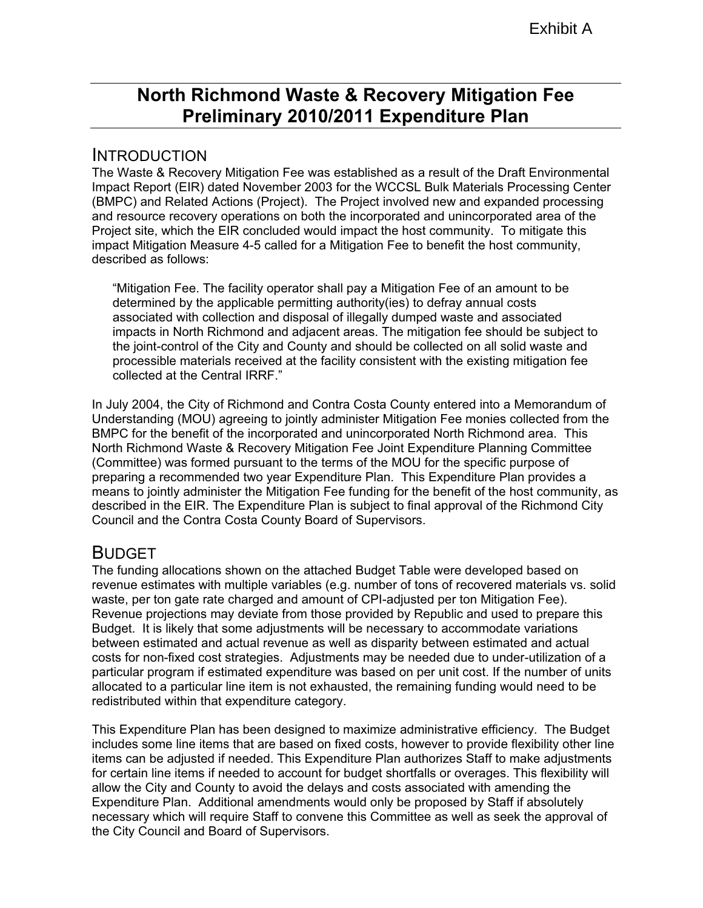# **North Richmond Waste & Recovery Mitigation Fee Preliminary 2010/2011 Expenditure Plan**

## INTRODUCTION

The Waste & Recovery Mitigation Fee was established as a result of the Draft Environmental Impact Report (EIR) dated November 2003 for the WCCSL Bulk Materials Processing Center (BMPC) and Related Actions (Project). The Project involved new and expanded processing and resource recovery operations on both the incorporated and unincorporated area of the Project site, which the EIR concluded would impact the host community. To mitigate this impact Mitigation Measure 4-5 called for a Mitigation Fee to benefit the host community, described as follows:

"Mitigation Fee. The facility operator shall pay a Mitigation Fee of an amount to be determined by the applicable permitting authority(ies) to defray annual costs associated with collection and disposal of illegally dumped waste and associated impacts in North Richmond and adjacent areas. The mitigation fee should be subject to the joint-control of the City and County and should be collected on all solid waste and processible materials received at the facility consistent with the existing mitigation fee collected at the Central IRRF."

In July 2004, the City of Richmond and Contra Costa County entered into a Memorandum of Understanding (MOU) agreeing to jointly administer Mitigation Fee monies collected from the BMPC for the benefit of the incorporated and unincorporated North Richmond area. This North Richmond Waste & Recovery Mitigation Fee Joint Expenditure Planning Committee (Committee) was formed pursuant to the terms of the MOU for the specific purpose of preparing a recommended two year Expenditure Plan. This Expenditure Plan provides a means to jointly administer the Mitigation Fee funding for the benefit of the host community, as described in the EIR. The Expenditure Plan is subject to final approval of the Richmond City Council and the Contra Costa County Board of Supervisors.

## BUDGET

The funding allocations shown on the attached Budget Table were developed based on revenue estimates with multiple variables (e.g. number of tons of recovered materials vs. solid waste, per ton gate rate charged and amount of CPI-adjusted per ton Mitigation Fee). Revenue projections may deviate from those provided by Republic and used to prepare this Budget. It is likely that some adjustments will be necessary to accommodate variations between estimated and actual revenue as well as disparity between estimated and actual costs for non-fixed cost strategies. Adjustments may be needed due to under-utilization of a particular program if estimated expenditure was based on per unit cost. If the number of units allocated to a particular line item is not exhausted, the remaining funding would need to be redistributed within that expenditure category.

This Expenditure Plan has been designed to maximize administrative efficiency. The Budget includes some line items that are based on fixed costs, however to provide flexibility other line items can be adjusted if needed. This Expenditure Plan authorizes Staff to make adjustments for certain line items if needed to account for budget shortfalls or overages. This flexibility will allow the City and County to avoid the delays and costs associated with amending the Expenditure Plan. Additional amendments would only be proposed by Staff if absolutely necessary which will require Staff to convene this Committee as well as seek the approval of the City Council and Board of Supervisors.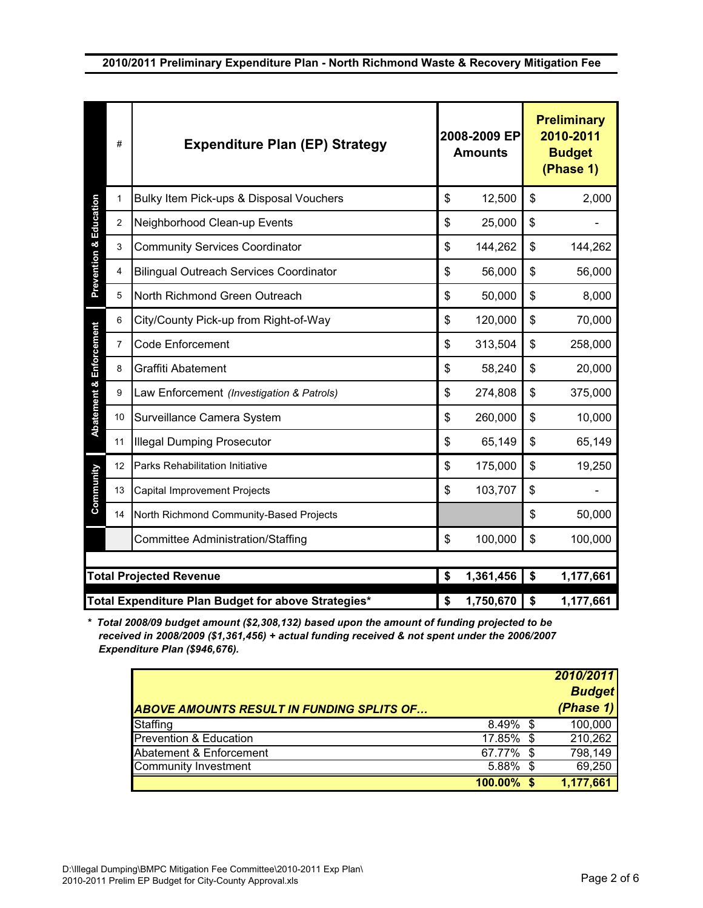|                                                     | #              | <b>Expenditure Plan (EP) Strategy</b>          | 2008-2009 EP<br><b>Amounts</b> |           |           | <b>Preliminary</b><br>2010-2011<br><b>Budget</b><br>(Phase 1) |  |
|-----------------------------------------------------|----------------|------------------------------------------------|--------------------------------|-----------|-----------|---------------------------------------------------------------|--|
| <b>Prevention &amp; Education</b>                   | 1              | Bulky Item Pick-ups & Disposal Vouchers        | \$                             | 12,500    | \$        | 2,000                                                         |  |
|                                                     | $\overline{2}$ | Neighborhood Clean-up Events                   | \$                             | 25,000    | \$        |                                                               |  |
|                                                     | 3              | <b>Community Services Coordinator</b>          | \$                             | 144,262   | \$        | 144,262                                                       |  |
|                                                     | 4              | <b>Bilingual Outreach Services Coordinator</b> | \$                             | 56,000    | \$        | 56,000                                                        |  |
|                                                     | 5              | North Richmond Green Outreach                  | \$                             | 50,000    | \$        | 8,000                                                         |  |
| Enforcement<br>Abatement &                          | 6              | City/County Pick-up from Right-of-Way          | \$                             | 120,000   | \$        | 70,000                                                        |  |
|                                                     | $\overline{7}$ | <b>Code Enforcement</b>                        | \$                             | 313,504   | \$        | 258,000                                                       |  |
|                                                     | 8              | Graffiti Abatement                             | \$                             | 58,240    | \$        | 20,000                                                        |  |
|                                                     | 9              | Law Enforcement (Investigation & Patrols)      | \$                             | 274,808   | \$        | 375,000                                                       |  |
|                                                     | 10             | Surveillance Camera System                     | \$                             | 260,000   | \$        | 10,000                                                        |  |
|                                                     | 11             | <b>Illegal Dumping Prosecutor</b>              | \$                             | 65,149    | \$        | 65,149                                                        |  |
| Community                                           | 12             | Parks Rehabilitation Initiative                | \$                             | 175,000   | \$        | 19,250                                                        |  |
|                                                     | 13             | <b>Capital Improvement Projects</b>            | \$                             | 103,707   | \$        |                                                               |  |
|                                                     | 14             | North Richmond Community-Based Projects        |                                |           | \$        | 50,000                                                        |  |
|                                                     |                | <b>Committee Administration/Staffing</b>       | \$                             | 100,000   | \$        | 100,000                                                       |  |
| <b>Total Projected Revenue</b>                      |                |                                                |                                |           |           |                                                               |  |
|                                                     |                | \$                                             | 1,361,456                      | \$        | 1,177,661 |                                                               |  |
| Total Expenditure Plan Budget for above Strategies* |                |                                                | \$                             | 1,750,670 | \$        | 1,177,661                                                     |  |

*\* Total 2008/09 budget amount (\$2,308,132) based upon the amount of funding projected to be received in 2008/2009 (\$1,361,456) + actual funding received & not spent under the 2006/2007 Expenditure Plan (\$946,676).* 

|                                                  |            |      | 2010/2011     |
|--------------------------------------------------|------------|------|---------------|
|                                                  |            |      | <b>Budget</b> |
| <b>ABOVE AMOUNTS RESULT IN FUNDING SPLITS OF</b> |            |      | (Phase 1)     |
| Staffing                                         | 8.49%      | \$.  | 100,000       |
| Prevention & Education                           | 17.85%     | - \$ | 210,262       |
| Abatement & Enforcement                          | 67.77%     | S    | 798,149       |
| Community Investment                             | 5.88%      | - \$ | 69,250        |
|                                                  | $100.00\%$ |      | 1,177,661     |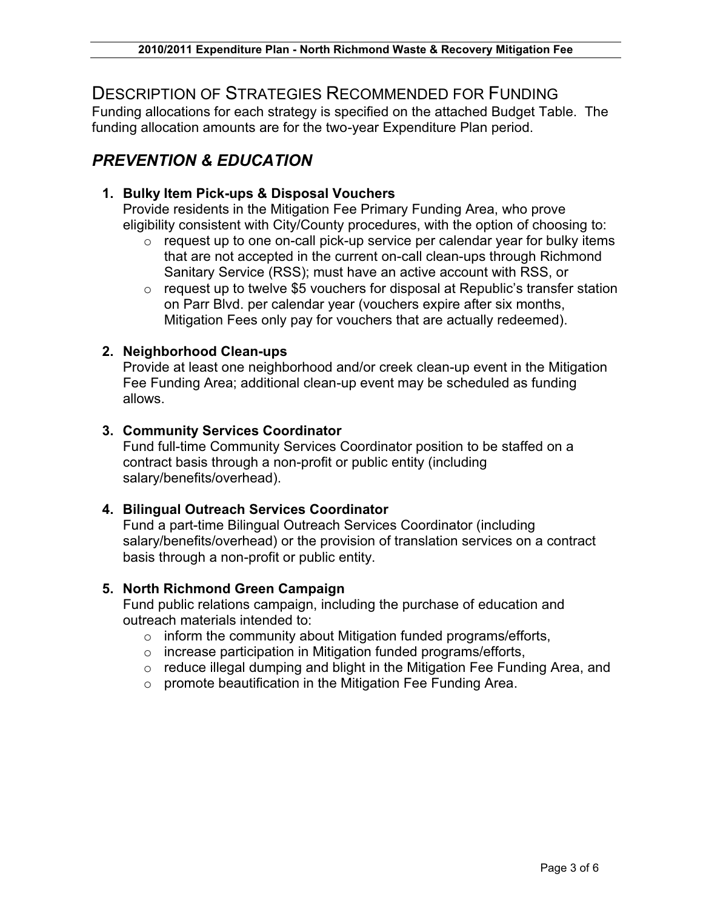## DESCRIPTION OF STRATEGIES RECOMMENDED FOR FUNDING

Funding allocations for each strategy is specified on the attached Budget Table. The funding allocation amounts are for the two-year Expenditure Plan period.

## *PREVENTION & EDUCATION*

### **1. Bulky Item Pick-ups & Disposal Vouchers**

Provide residents in the Mitigation Fee Primary Funding Area, who prove eligibility consistent with City/County procedures, with the option of choosing to:

- o request up to one on-call pick-up service per calendar year for bulky items that are not accepted in the current on-call clean-ups through Richmond Sanitary Service (RSS); must have an active account with RSS, or
- o request up to twelve \$5 vouchers for disposal at Republic's transfer station on Parr Blvd. per calendar year (vouchers expire after six months, Mitigation Fees only pay for vouchers that are actually redeemed).

### **2. Neighborhood Clean-ups**

Provide at least one neighborhood and/or creek clean-up event in the Mitigation Fee Funding Area; additional clean-up event may be scheduled as funding allows.

### **3. Community Services Coordinator**

Fund full-time Community Services Coordinator position to be staffed on a contract basis through a non-profit or public entity (including salary/benefits/overhead).

### **4. Bilingual Outreach Services Coordinator**

Fund a part-time Bilingual Outreach Services Coordinator (including salary/benefits/overhead) or the provision of translation services on a contract basis through a non-profit or public entity.

#### **5. North Richmond Green Campaign**

Fund public relations campaign, including the purchase of education and outreach materials intended to:

- o inform the community about Mitigation funded programs/efforts,
- o increase participation in Mitigation funded programs/efforts,
- o reduce illegal dumping and blight in the Mitigation Fee Funding Area, and
- o promote beautification in the Mitigation Fee Funding Area.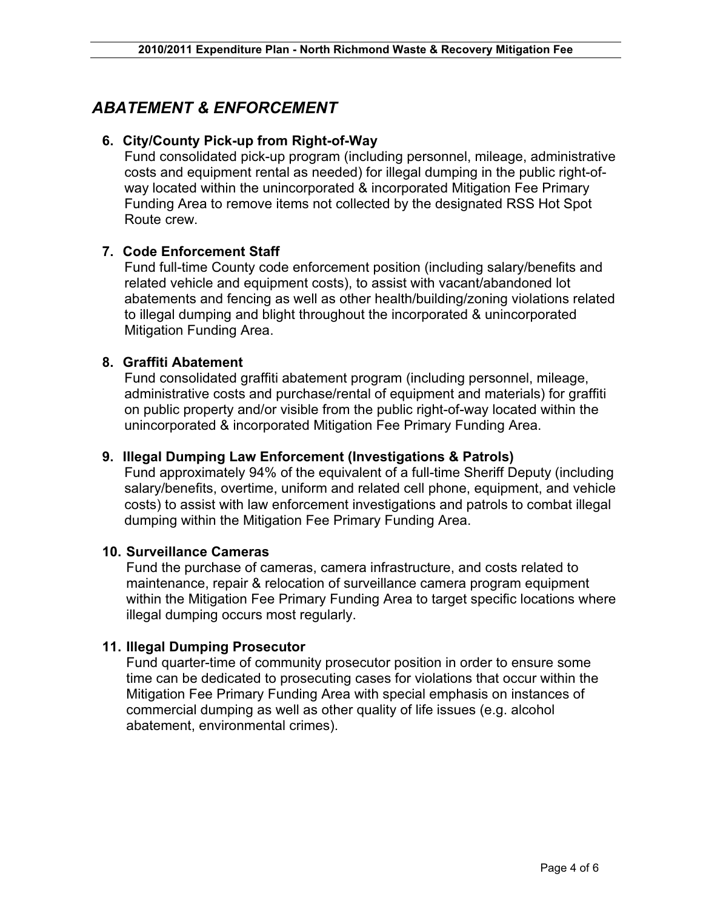## *ABATEMENT & ENFORCEMENT*

### **6. City/County Pick-up from Right-of-Way**

Fund consolidated pick-up program (including personnel, mileage, administrative costs and equipment rental as needed) for illegal dumping in the public right-ofway located within the unincorporated & incorporated Mitigation Fee Primary Funding Area to remove items not collected by the designated RSS Hot Spot Route crew.

## **7. Code Enforcement Staff**

Fund full-time County code enforcement position (including salary/benefits and related vehicle and equipment costs), to assist with vacant/abandoned lot abatements and fencing as well as other health/building/zoning violations related to illegal dumping and blight throughout the incorporated & unincorporated Mitigation Funding Area.

### **8. Graffiti Abatement**

Fund consolidated graffiti abatement program (including personnel, mileage, administrative costs and purchase/rental of equipment and materials) for graffiti on public property and/or visible from the public right-of-way located within the unincorporated & incorporated Mitigation Fee Primary Funding Area.

#### **9. Illegal Dumping Law Enforcement (Investigations & Patrols)**

Fund approximately 94% of the equivalent of a full-time Sheriff Deputy (including salary/benefits, overtime, uniform and related cell phone, equipment, and vehicle costs) to assist with law enforcement investigations and patrols to combat illegal dumping within the Mitigation Fee Primary Funding Area.

#### **10. Surveillance Cameras**

Fund the purchase of cameras, camera infrastructure, and costs related to maintenance, repair & relocation of surveillance camera program equipment within the Mitigation Fee Primary Funding Area to target specific locations where illegal dumping occurs most regularly.

### **11. Illegal Dumping Prosecutor**

Fund quarter-time of community prosecutor position in order to ensure some time can be dedicated to prosecuting cases for violations that occur within the Mitigation Fee Primary Funding Area with special emphasis on instances of commercial dumping as well as other quality of life issues (e.g. alcohol abatement, environmental crimes).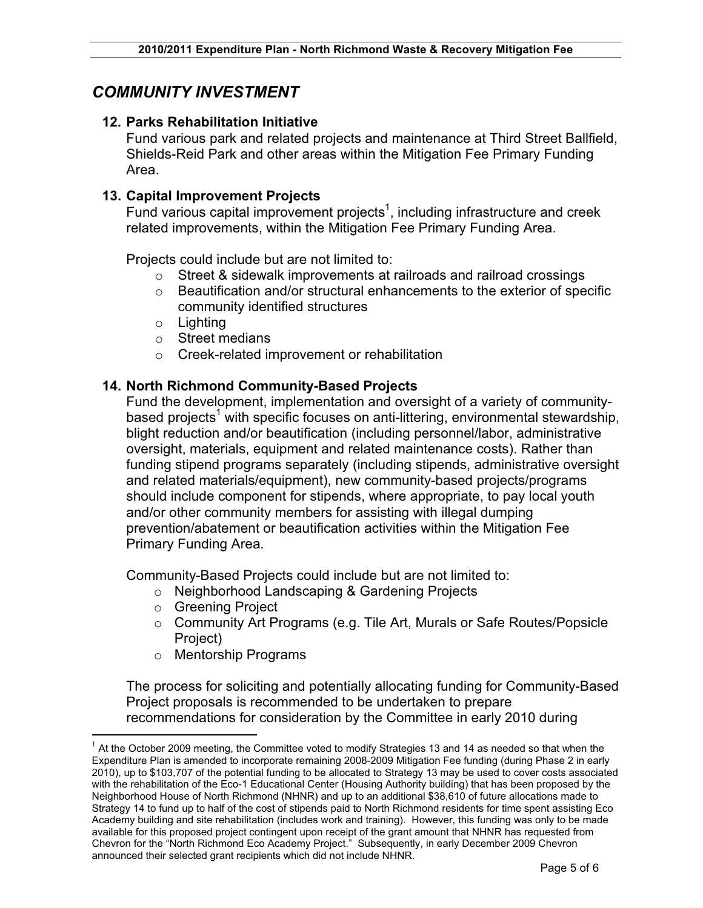## *COMMUNITY INVESTMENT*

### **12. Parks Rehabilitation Initiative**

Fund various park and related projects and maintenance at Third Street Ballfield, Shields-Reid Park and other areas within the Mitigation Fee Primary Funding Area.

#### **13. Capital Improvement Projects**

Fund various capital improvement projects<sup>1</sup>, including infrastructure and creek related improvements, within the Mitigation Fee Primary Funding Area.

Projects could include but are not limited to:

- $\circ$  Street & sidewalk improvements at railroads and railroad crossings
- o Beautification and/or structural enhancements to the exterior of specific community identified structures
- $\circ$  Lighting
- o Street medians
- o Creek-related improvement or rehabilitation

### **14. North Richmond Community-Based Projects**

Fund the development, implementation and oversight of a variety of communitybased projects<sup>1</sup> with specific focuses on anti-littering, environmental stewardship, blight reduction and/or beautification (including personnel/labor, administrative oversight, materials, equipment and related maintenance costs). Rather than funding stipend programs separately (including stipends, administrative oversight and related materials/equipment), new community-based projects/programs should include component for stipends, where appropriate, to pay local youth and/or other community members for assisting with illegal dumping prevention/abatement or beautification activities within the Mitigation Fee Primary Funding Area.

Community-Based Projects could include but are not limited to:

- o Neighborhood Landscaping & Gardening Projects
- o Greening Project
- o Community Art Programs (e.g. Tile Art, Murals or Safe Routes/Popsicle Project)
- o Mentorship Programs

The process for soliciting and potentially allocating funding for Community-Based Project proposals is recommended to be undertaken to prepare recommendations for consideration by the Committee in early 2010 during

 $1$  At the October 2009 meeting, the Committee voted to modify Strategies 13 and 14 as needed so that when the Expenditure Plan is amended to incorporate remaining 2008-2009 Mitigation Fee funding (during Phase 2 in early 2010), up to \$103,707 of the potential funding to be allocated to Strategy 13 may be used to cover costs associated with the rehabilitation of the Eco-1 Educational Center (Housing Authority building) that has been proposed by the Neighborhood House of North Richmond (NHNR) and up to an additional \$38,610 of future allocations made to Strategy 14 to fund up to half of the cost of stipends paid to North Richmond residents for time spent assisting Eco Academy building and site rehabilitation (includes work and training). However, this funding was only to be made available for this proposed project contingent upon receipt of the grant amount that NHNR has requested from Chevron for the "North Richmond Eco Academy Project." Subsequently, in early December 2009 Chevron announced their selected grant recipients which did not include NHNR.